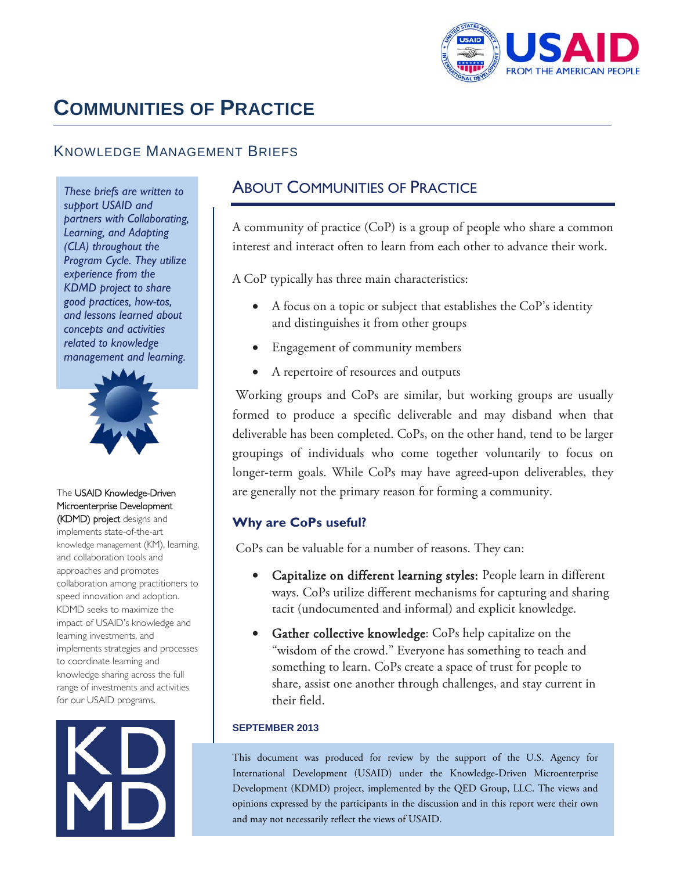

# **COMMUNITIES OF PRACTICE**

# KNOWLEDGE MANAGEMENT BRIEFS

 *These briefs are written to support USAID and partners with Collaborating, Learning, and Adapting (CLA) throughout the Program Cycle. They utilize experience from the KDMD project to share good practices, how-tos, and lessons learned about concepts and activities related to knowledge management and learning.* 



#### The USAID Knowledge-Driven Microenterprise Development (KDMD) project designs and

 knowledge sharing across the full implements state-of-the-art knowledge management (KM), learning, and collaboration tools and approaches and promotes collaboration among practitioners to speed innovation and adoption. KDMD seeks to maximize the impact of USAID's knowledge and learning investments, and implements strategies and processes to coordinate learning and range of investments and activities for our USAID programs.



# ABOUT COMMUNITIES OF PRACTICE

 interest and interact often to learn from each other to advance their work. A community of practice (CoP) is a group of people who share a common

A CoP typically has three main characteristics:

- A focus on a topic or subject that establishes the  $CoP's$  identity and distinguishes it from other groups
- Engagement of community members
- A repertoire of resources and outputs

Working groups and CoPs are similar, but working groups are usually formed to produce a specific deliverable and may disband when that deliverable has been completed. CoPs, on the other hand, tend to be larger groupings of individuals who come together voluntarily to focus on longer-term goals. While CoPs may have agreed-upon deliverables, they are generally not the primary reason for forming a community.

### **Why are CoPs useful?**

CoPs can be valuable for a number of reasons. They can:

- Capitalize on different learning styles: People learn in different ways. CoPs utilize different mechanisms for capturing and sharing tacit (undocumented and informal) and explicit knowledge.
- • Gather collective knowledge: CoPs help capitalize on the their field. "wisdom of the crowd." Everyone has something to teach and something to learn. CoPs create a space of trust for people to share, assist one another through challenges, and stay current in

#### **SEPTEMBER 2013**

 opinions expressed by the participants in the discussion and in this report were their own This document was produced for review by the support of the U.S. Agency for International Development (USAID) under the Knowledge-Driven Microenterprise Development (KDMD) project, implemented by the QED Group, LLC. The views and and may not necessarily reflect the views of USAID.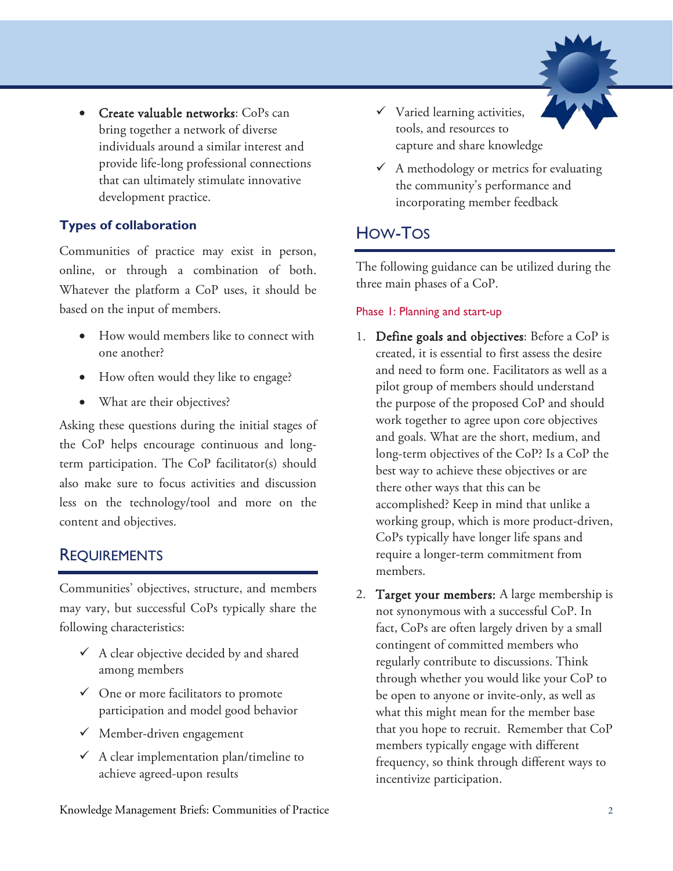

Create valuable networks: CoPs can bring together a network of diverse individuals around a similar interest and provide life-long professional connections that can ultimately stimulate innovative development practice.

### **Types of collaboration**

Communities of practice may exist in person, online, or through a combination of both. Whatever the platform a CoP uses, it should be based on the input of members.

- • How would members like to connect with one another?
- How often would they like to engage?
- What are their objectives?

 content and objectives. Asking these questions during the initial stages of the CoP helps encourage continuous and longterm participation. The CoP facilitator(s) should also make sure to focus activities and discussion less on the technology/tool and more on the

## REQUIREMENTS

Communities' objectives, structure, and members may vary, but successful CoPs typically share the following characteristics:

- $\checkmark$  A clear objective decided by and shared among members
- $\checkmark$  One or more facilitators to promote participation and model good behavior
- $\checkmark$  Member-driven engagement
- $\checkmark$  A clear implementation plan/timeline to achieve agreed-upon results
- $\checkmark$  Varied learning activities, tools, and resources to capture and share knowledge
- $\checkmark$  A methodology or metrics for evaluating the community's performance and incorporating member feedback

# HOW-TOS

 three main phases of a CoP. The following guidance can be utilized during the

### Phase 1: Planning and start-up

- 1. Define goals and objectives: Before a CoP is created, it is essential to first assess the desire and need to form one. Facilitators as well as a pilot group of members should understand the purpose of the proposed CoP and should work together to agree upon core objectives and goals. What are the short, medium, and long-term objectives of the CoP? Is a CoP the best way to achieve these objectives or are there other ways that this can be accomplished? Keep in mind that unlike a working group, which is more product-driven, CoPs typically have longer life spans and require a longer-term commitment from members.
- 2. Target your members: A large membership is not synonymous with a successful CoP. In fact, CoPs are often largely driven by a small contingent of committed members who regularly contribute to discussions. Think through whether you would like your CoP to be open to anyone or invite-only, as well as what this might mean for the member base that you hope to recruit. Remember that CoP members typically engage with different frequency, so think through different ways to incentivize participation.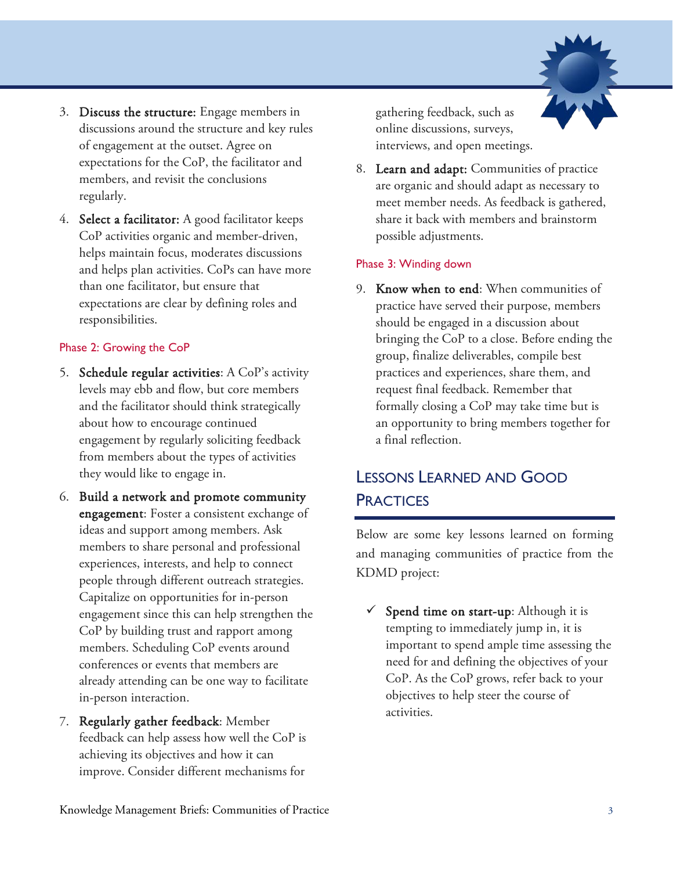

- 3. Discuss the structure: Engage members in discussions around the structure and key rules of engagement at the outset. Agree on expectations for the CoP, the facilitator and members, and revisit the conclusions regularly.
- 4. Select a facilitator: A good facilitator keeps CoP activities organic and member-driven, helps maintain focus, moderates discussions and helps plan activities. CoPs can have more than one facilitator, but ensure that expectations are clear by defining roles and responsibilities.

#### Phase 2: Growing the CoP

- 5. Schedule regular activities: A CoP's activity levels may ebb and flow, but core members and the facilitator should think strategically about how to encourage continued engagement by regularly soliciting feedback from members about the types of activities they would like to engage in.
- engagement: Foster a consistent exchange of experiences, interests, and help to connect conferences or events that members are 6. Build a network and promote community ideas and support among members. Ask members to share personal and professional people through different outreach strategies. Capitalize on opportunities for in-person engagement since this can help strengthen the CoP by building trust and rapport among members. Scheduling CoP events around already attending can be one way to facilitate in-person interaction.
- feedback can help assess how well the CoP is 7. Regularly gather feedback: Member achieving its objectives and how it can improve. Consider different mechanisms for

gathering feedback, such as online discussions, surveys, interviews, and open meetings.

8. Learn and adapt: Communities of practice are organic and should adapt as necessary to meet member needs. As feedback is gathered, share it back with members and brainstorm possible adjustments.

### Phase 3: Winding down

9. Know when to end: When communities of practice have served their purpose, members should be engaged in a discussion about bringing the CoP to a close. Before ending the group, finalize deliverables, compile best practices and experiences, share them, and request final feedback. Remember that formally closing a CoP may take time but is an opportunity to bring members together for a final reflection.

# LESSONS LEARNED AND GOOD **PRACTICES**

Below are some key lessons learned on forming and managing communities of practice from the KDMD project:

 $\checkmark$  Spend time on start-up: Although it is tempting to immediately jump in, it is important to spend ample time assessing the need for and defining the objectives of your CoP. As the CoP grows, refer back to your objectives to help steer the course of activities.